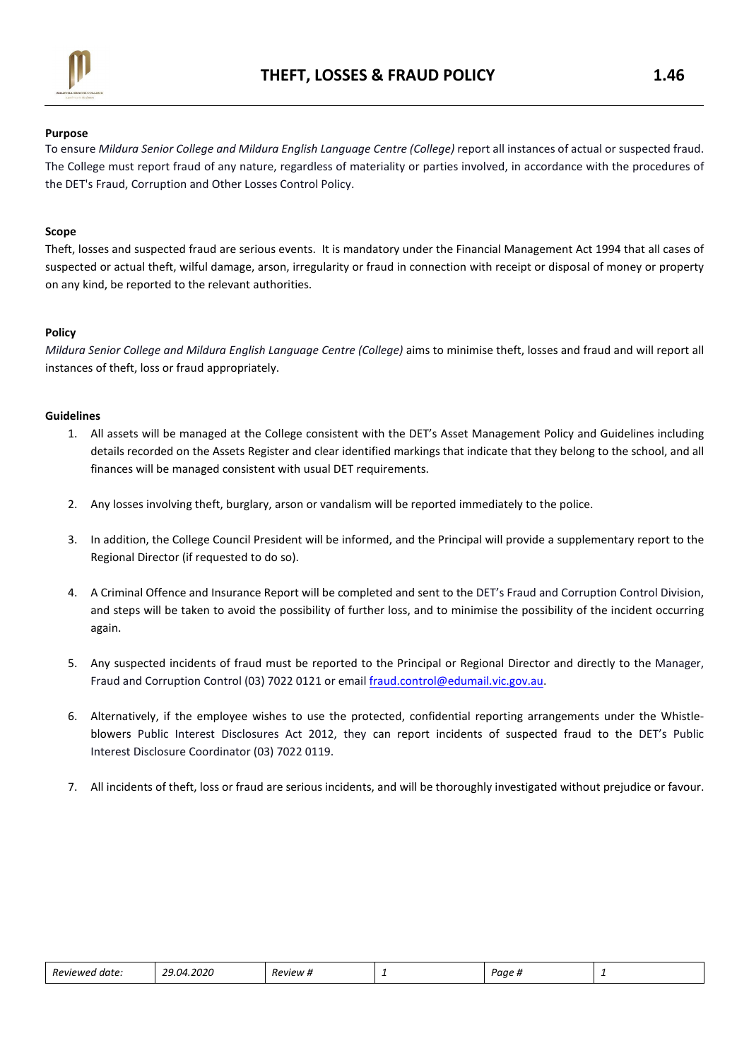

#### Purpose

To ensure Mildura Senior College and Mildura English Language Centre (College) report all instances of actual or suspected fraud. The College must report fraud of any nature, regardless of materiality or parties involved, in accordance with the procedures of the DET's Fraud, Corruption and Other Losses Control Policy.

#### Scope

Theft, losses and suspected fraud are serious events. It is mandatory under the Financial Management Act 1994 that all cases of suspected or actual theft, wilful damage, arson, irregularity or fraud in connection with receipt or disposal of money or property on any kind, be reported to the relevant authorities.

#### Policy

Mildura Senior College and Mildura English Language Centre (College) aims to minimise theft, losses and fraud and will report all instances of theft, loss or fraud appropriately.

#### Guidelines

- 1. All assets will be managed at the College consistent with the DET's Asset Management Policy and Guidelines including details recorded on the Assets Register and clear identified markings that indicate that they belong to the school, and all finances will be managed consistent with usual DET requirements.
- 2. Any losses involving theft, burglary, arson or vandalism will be reported immediately to the police.
- 3. In addition, the College Council President will be informed, and the Principal will provide a supplementary report to the Regional Director (if requested to do so).
- 4. A Criminal Offence and Insurance Report will be completed and sent to the DET's Fraud and Corruption Control Division, and steps will be taken to avoid the possibility of further loss, and to minimise the possibility of the incident occurring again.
- 5. Any suspected incidents of fraud must be reported to the Principal or Regional Director and directly to the Manager, Fraud and Corruption Control (03) 7022 0121 or email fraud.control@edumail.vic.gov.au.
- 6. Alternatively, if the employee wishes to use the protected, confidential reporting arrangements under the Whistleblowers Public Interest Disclosures Act 2012, they can report incidents of suspected fraud to the DET's Public Interest Disclosure Coordinator (03) 7022 0119.
- 7. All incidents of theft, loss or fraud are serious incidents, and will be thoroughly investigated without prejudice or favour.

| ! date:<br>Reviewer – | 4.2020<br>$2.04$ $\degree$<br>. | -<br><i><b>Review #</b></i> | - | Page |  |
|-----------------------|---------------------------------|-----------------------------|---|------|--|
|                       |                                 |                             |   |      |  |